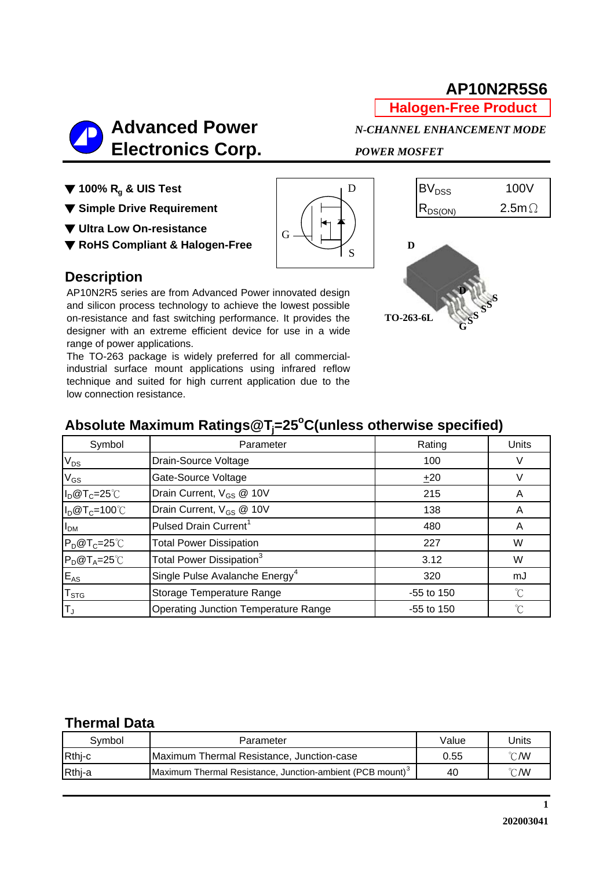## **AP10N2R5S6**

**Halogen-Free Product**

 **Advanced Power** *N-CHANNEL ENHANCEMENT MODE*  **Electronics Corp.** *POWER MOSFET*

▼ **Ultra Low On-resistance**

▼ **RoHS Compliant & Halogen-Free**





#### **Description**

AP10N2R5 series are from Advanced Power innovated design and silicon process technology to achieve the lowest possible on-resistance and fast switching performance. It provides the designer with an extreme efficient device for use in a wide range of power applications. AP10N2R5 series are from Advanced Power innovated design<br>and silicon process technology to achieve the lowest possible<br>on-resistance and fast switching performance. It provides the<br>designer with an extreme efficient device

The TO-263 package is widely preferred for all commercialindustrial surface mount applications using infrared reflow technique and suited for high current application due to the low connection resistance.

# Absolute Maximum Ratings@T<sub>j</sub>=25<sup>°</sup>C(unless otherwise specified)

| Symbol                    | Parameter                                   | Rating       | Units |
|---------------------------|---------------------------------------------|--------------|-------|
| $V_{DS}$                  | Drain-Source Voltage                        | 100          |       |
| $V_{GS}$                  | Gate-Source Voltage                         | ±20          |       |
| $I_D@T_C=25°C$            | Drain Current, V <sub>GS</sub> @ 10V        | 215          | A     |
| $I_D@T_C=100°C$           | Drain Current, V <sub>GS</sub> @ 10V        | 138          | A     |
| I <sub>DM</sub>           | Pulsed Drain Current <sup>1</sup>           | 480          | A     |
| $P_D@T_C=25^{\circ}C$     | <b>Total Power Dissipation</b>              | 227          | W     |
| $P_D@T_A=25°C$            | Total Power Dissipation <sup>3</sup>        | 3.12         | W     |
| $E_{AS}$                  | Single Pulse Avalanche Energy <sup>4</sup>  | 320          | mJ    |
| $\mathsf{T}_{\text{STG}}$ | Storage Temperature Range                   | $-55$ to 150 | °C    |
| T <sub>J</sub>            | <b>Operating Junction Temperature Range</b> | $-55$ to 150 | °C    |

#### **Thermal Data**

| Svmbol | Parameter                                                             | Value | Jnits          |
|--------|-----------------------------------------------------------------------|-------|----------------|
| Rthj-c | Maximum Thermal Resistance, Junction-case                             | 0.55  | $^{\circ}$ C/W |
| Rthj-a | Maximum Thermal Resistance, Junction-ambient (PCB mount) <sup>3</sup> | 40    | $^{\circ}$ C/W |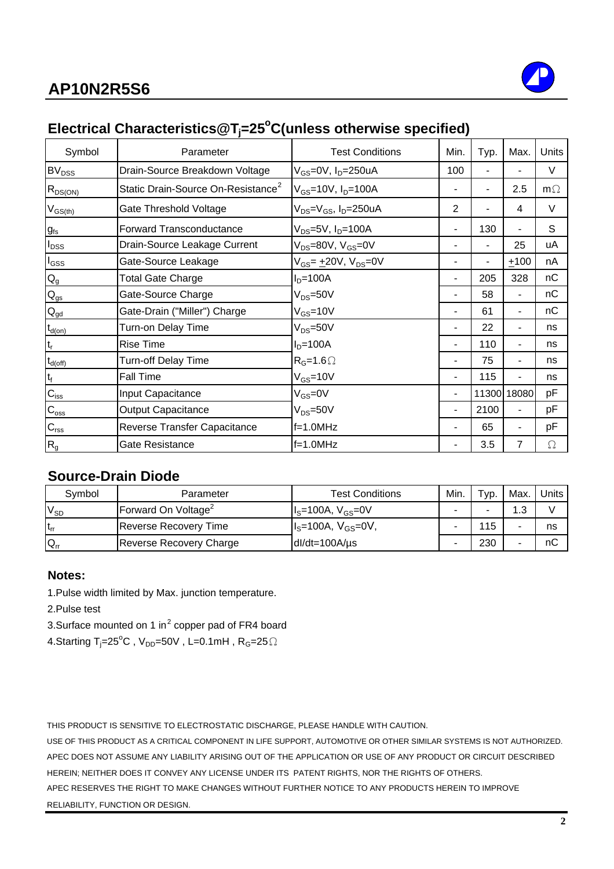

## Electrical Characteristics@T<sub>j</sub>=25°C(unless otherwise specified)

| Symbol                    | Parameter                                      | <b>Test Conditions</b>                                   | Min.           | Typ.  | Max.           | <b>Units</b> |
|---------------------------|------------------------------------------------|----------------------------------------------------------|----------------|-------|----------------|--------------|
| <b>BV<sub>DSS</sub></b>   | Drain-Source Breakdown Voltage                 | V <sub>GS</sub> =0V, I <sub>D</sub> =250uA               | 100            |       |                | $\vee$       |
| $R_{DS(ON)}$              | Static Drain-Source On-Resistance <sup>2</sup> | $V_{GS}$ =10V, $I_D$ =100A                               |                |       | 2.5            | $m\Omega$    |
| $V_{GS(th)}$              | Gate Threshold Voltage                         | V <sub>DS</sub> =V <sub>GS</sub> , I <sub>D</sub> =250uA | $\overline{2}$ |       | 4              | $\vee$       |
| $g_{fs}$                  | <b>Forward Transconductance</b>                | $V_{DS} = 5V$ , $I_D = 100A$                             |                | 130   |                | S            |
| $I_{DSS}$                 | Drain-Source Leakage Current                   | $V_{DS}$ =80V, $V_{GS}$ =0V                              |                |       | 25             | uA           |
| $I_{GSS}$                 | Gate-Source Leakage                            | V <sub>GS</sub> = <u>+</u> 20V, V <sub>DS</sub> =0V      |                |       | ±100           | nA           |
| $\mathsf{Q}_{\mathsf{g}}$ | Total Gate Charge                              | $ID=100A$                                                |                | 205   | 328            | nC           |
| $\mathsf{Q}_{\text{gs}}$  | Gate-Source Charge                             | $V_{DS} = 50V$                                           |                | 58    | -              | nС           |
| $Q_{\underline{gd}}$      | Gate-Drain ("Miller") Charge                   | $V_{GS}$ =10V                                            |                | 61    | $\blacksquare$ | nC           |
| $t_{d(on)}$               | Turn-on Delay Time                             | $V_{DS} = 50V$                                           |                | 22    | Ξ.             | ns           |
| $t_{r}$                   | <b>Rise Time</b>                               | $ID=100A$                                                |                | 110   | Ξ.             | ns           |
| $t_{d(\underline{off})}$  | <b>Turn-off Delay Time</b>                     | $R_G=1.6 \Omega$                                         |                | 75    | Ξ.             | ns           |
| $t_f$                     | <b>Fall Time</b>                               | $V_{GS} = 10V$                                           |                | 115   |                | ns           |
| $C_{iss}$                 | Input Capacitance                              | $V_{GS} = 0V$                                            | ۰.             | 11300 | 18080          | pF           |
| $C_{\text{oss}}$          | <b>Output Capacitance</b>                      | $V_{DS} = 50V$                                           | -              | 2100  | $\blacksquare$ | pF           |
| $C_{\text{rss}}$          | Reverse Transfer Capacitance                   | f=1.0MHz                                                 |                | 65    | $\blacksquare$ | pF           |
| $R_{g}$                   | Gate Resistance                                | f=1.0MHz                                                 |                | 3.5   | 7              | Ω            |

#### **Source-Drain Diode**

| Symbol   | Parameter                       | <b>Test Conditions</b> | Min. | $\tau_{\mathsf{VD}.}$ | Max. | Units |
|----------|---------------------------------|------------------------|------|-----------------------|------|-------|
| $V_{SD}$ | Forward On Voltage <sup>2</sup> | $IS=100A, VGS=0V$      |      |                       | ູ    |       |
| $t_{rr}$ | <b>Reverse Recovery Time</b>    | $IS=100A, VGS=0V,$     |      | 15                    |      | ns    |
| $Q_{rr}$ | Reverse Recovery Charge         | $dl/dt = 100A/\mu s$   | -    | 230                   |      | nС    |

#### **Notes:**

1.Pulse width limited by Max. junction temperature.

2.Pulse test

3.Surface mounted on 1 in<sup>2</sup> copper pad of FR4 board

4.Starting T<sub>j</sub>=25<sup>o</sup>C,V<sub>DD</sub>=50V,L=0.1mH,R<sub>G</sub>=25 $\Omega$ 

THIS PRODUCT IS SENSITIVE TO ELECTROSTATIC DISCHARGE, PLEASE HANDLE WITH CAUTION.

APEC DOES NOT ASSUME ANY LIABILITY ARISING OUT OF THE APPLICATION OR USE OF ANY PRODUCT OR CIRCUIT DESCRIBED HEREIN; NEITHER DOES IT CONVEY ANY LICENSE UNDER ITS PATENT RIGHTS, NOR THE RIGHTS OF OTHERS. USE OF THIS PRODUCT AS A CRITICAL COMPONENT IN LIFE SUPPORT, AUTOMOTIVE OR OTHER SIMILAR SYSTEMS IS NOT AUTHORIZED.

APEC RESERVES THE RIGHT TO MAKE CHANGES WITHOUT FURTHER NOTICE TO ANY PRODUCTS HEREIN TO IMPROVE RELIABILITY, FUNCTION OR DESIGN.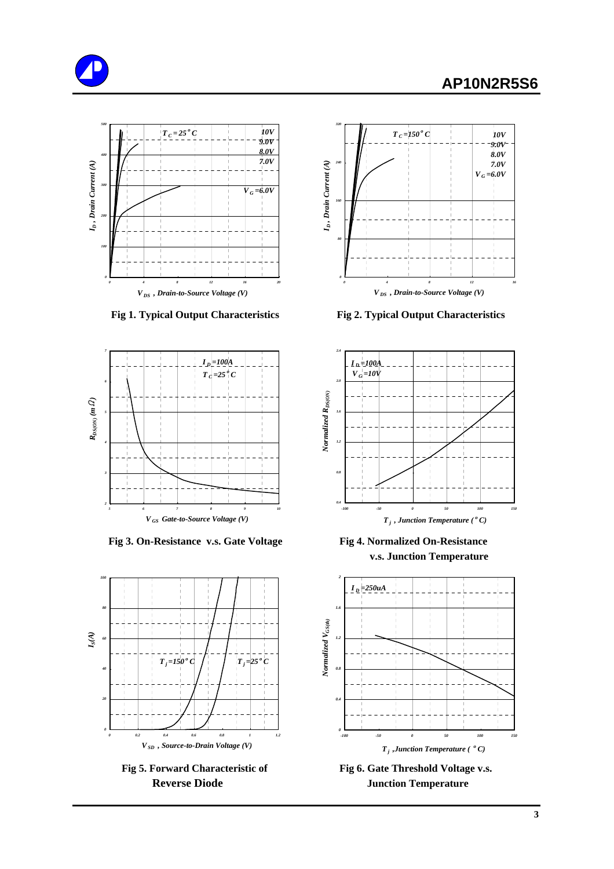





 **Fig 3. On-Resistance v.s. Gate Voltage Fig 4. Normalized On-Resistance**





 **Fig 1. Typical Output Characteristics Fig 2. Typical Output Characteristics**



 **v.s. Junction Temperature**



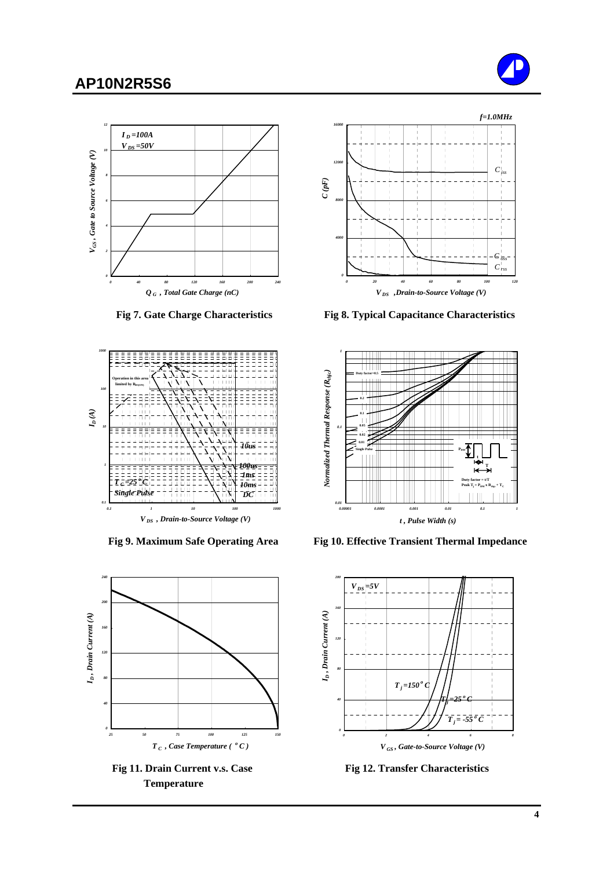### **AP10N2R5S6**









 **Temperature**



 **Fig 7. Gate Charge Characteristics Fig 8. Typical Capacitance Characteristics**



**Fig 9. Maximum Safe Operating Area Fig 10. Effective Transient Thermal Impedance** 



Fig 11. Drain Current v.s. Case Fig 12. Transfer Characteristics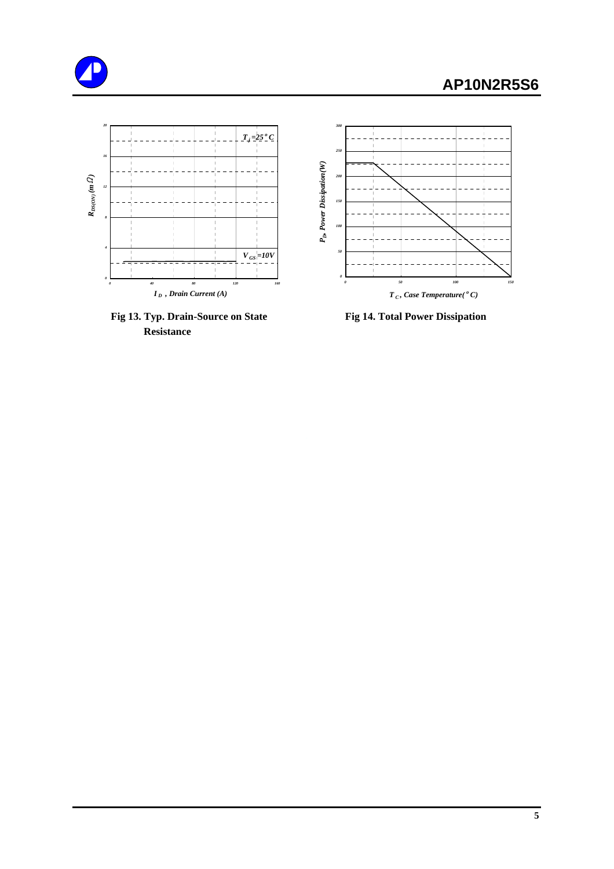



Fig 13. Typ. Drain-Source on State Fig 14. Total Power Dissipation  **Resistance**

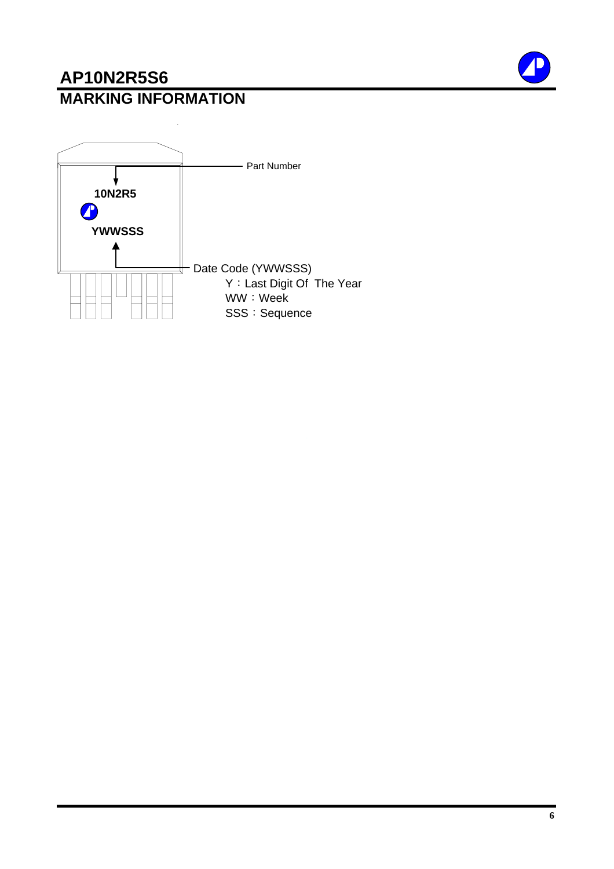## **AP10N2R5S6 MARKING INFORMATION**